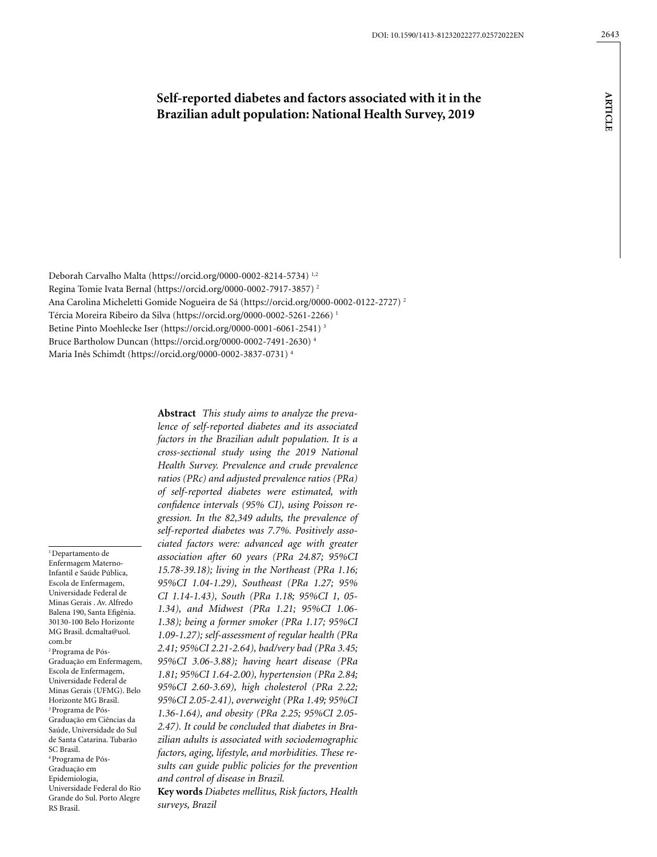# **Self-reported diabetes and factors associated with it in the Brazilian adult population: National Health Survey, 2019**

Deborah Carvalho Malta (https://orcid.org/0000-0002-8214-5734) 1,2 Regina Tomie Ivata Bernal (https://orcid.org/0000-0002-7917-3857) 2 Ana Carolina Micheletti Gomide Nogueira de Sá [\(https://orcid.org/0000-0002-0122-2727](https://orcid.org/0000-0002-0122-2727)) 2 Tércia Moreira Ribeiro da Silva (https://orcid.org/0000-0002-5261-2266) 1 Betine Pinto Moehlecke Iser (<https://orcid.org/0000-0001-6061-2541>) 3 Bruce Bartholow Duncan (https://orcid.org/0000-0002-7491-2630) 4 Maria Inês Schimdt (https://orcid.org/0000-0002-3837-0731) 4

1 Departamento de Enfermagem Materno-Infantil e Saúde Pública, Escola de Enfermagem, Universidade Federal de Minas Gerais . Av. Alfredo Balena 190, Santa Efigênia. 30130-100 Belo Horizonte MG Brasil. [dcmalta@uol.](mailto:dcmalta@uol.com.br) [com.br](mailto:dcmalta@uol.com.br) 2 Programa de Pós-Graduação em Enfermagem, Escola de Enfermagem, Universidade Federal de Minas Gerais (UFMG). Belo Horizonte MG Brasil. 3 Programa de Pós-Graduação em Ciências da Saúde, Universidade do Sul de Santa Catarina. Tubarão SC Brasil. 4 Programa de Pós-Graduação em Epidemiologia, Universidade Federal do Rio Grande do Sul. Porto Alegre RS Brasil.

**Abstract** *This study aims to analyze the prevalence of self-reported diabetes and its associated factors in the Brazilian adult population. It is a cross-sectional study using the 2019 National Health Survey. Prevalence and crude prevalence ratios (PRc) and adjusted prevalence ratios (PRa) of self-reported diabetes were estimated, with confidence intervals (95% CI), using Poisson regression. In the 82,349 adults, the prevalence of self-reported diabetes was 7.7%. Positively associated factors were: advanced age with greater association after 60 years (PRa 24.87; 95%CI 15.78-39.18); living in the Northeast (PRa 1.16; 95%CI 1.04-1.29), Southeast (PRa 1.27; 95% CI 1.14-1.43), South (PRa 1.18; 95%CI 1, 05- 1.34), and Midwest (PRa 1.21; 95%CI 1.06- 1.38); being a former smoker (PRa 1.17; 95%CI 1.09-1.27); self-assessment of regular health (PRa 2.41; 95%CI 2.21-2.64), bad/very bad (PRa 3.45; 95%CI 3.06-3.88); having heart disease (PRa 1.81; 95%CI 1.64-2.00), hypertension (PRa 2.84; 95%CI 2.60-3.69), high cholesterol (PRa 2.22; 95%CI 2.05-2.41), overweight (PRa 1.49; 95%CI 1.36-1.64), and obesity (PRa 2.25; 95%CI 2.05- 2.47). It could be concluded that diabetes in Brazilian adults is associated with sociodemographic factors, aging, lifestyle, and morbidities. These results can guide public policies for the prevention and control of disease in Brazil.*

**Key words** *Diabetes mellitus, Risk factors, Health surveys, Brazil*

**ARTICLE ARTICLE**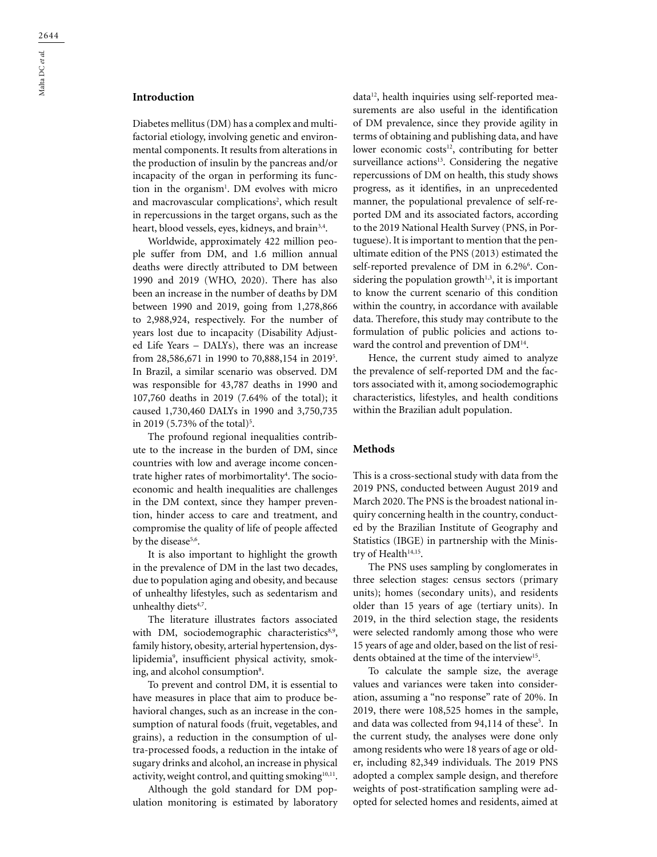# **Introduction**

Diabetes mellitus (DM) has a complex and multifactorial etiology, involving genetic and environmental components. It results from alterations in the production of insulin by the pancreas and/or incapacity of the organ in performing its function in the organism<sup>1</sup>. DM evolves with micro and macrovascular complications<sup>2</sup>, which result in repercussions in the target organs, such as the heart, blood vessels, eyes, kidneys, and brain<sup>3,4</sup>.

Worldwide, approximately 422 million people suffer from DM, and 1.6 million annual deaths were directly attributed to DM between 1990 and 2019 (WHO, 2020). There has also been an increase in the number of deaths by DM between 1990 and 2019, going from 1,278,866 to 2,988,924, respectively. For the number of years lost due to incapacity (Disability Adjusted Life Years – DALYs), there was an increase from 28,586,671 in 1990 to 70,888,154 in 20195 . In Brazil, a similar scenario was observed. DM was responsible for 43,787 deaths in 1990 and 107,760 deaths in 2019 (7.64% of the total); it caused 1,730,460 DALYs in 1990 and 3,750,735 in 2019 (5.73% of the total)<sup>5</sup>.

The profound regional inequalities contribute to the increase in the burden of DM, since countries with low and average income concentrate higher rates of morbimortality<sup>4</sup>. The socioeconomic and health inequalities are challenges in the DM context, since they hamper prevention, hinder access to care and treatment, and compromise the quality of life of people affected by the disease<sup>5,6</sup>.

It is also important to highlight the growth in the prevalence of DM in the last two decades, due to population aging and obesity, and because of unhealthy lifestyles, such as sedentarism and unhealthy diets<sup>4,7</sup>.

The literature illustrates factors associated with DM, sociodemographic characteristics<sup>8,9</sup>, family history, obesity, arterial hypertension, dyslipidemia9 , insufficient physical activity, smoking, and alcohol consumption<sup>8</sup>.

To prevent and control DM, it is essential to have measures in place that aim to produce behavioral changes, such as an increase in the consumption of natural foods (fruit, vegetables, and grains), a reduction in the consumption of ultra-processed foods, a reduction in the intake of sugary drinks and alcohol, an increase in physical activity, weight control, and quitting smoking<sup>10,11</sup>.

Although the gold standard for DM population monitoring is estimated by laboratory data<sup>12</sup>, health inquiries using self-reported measurements are also useful in the identification of DM prevalence, since they provide agility in terms of obtaining and publishing data, and have lower economic costs<sup>12</sup>, contributing for better surveillance actions $13$ . Considering the negative repercussions of DM on health, this study shows progress, as it identifies, in an unprecedented manner, the populational prevalence of self-reported DM and its associated factors, according to the 2019 National Health Survey (PNS, in Portuguese). It is important to mention that the penultimate edition of the PNS (2013) estimated the self-reported prevalence of DM in 6.2%<sup>6</sup>. Considering the population growth $1,3$ , it is important to know the current scenario of this condition within the country, in accordance with available data. Therefore, this study may contribute to the formulation of public policies and actions toward the control and prevention of DM<sup>14</sup>.

Hence, the current study aimed to analyze the prevalence of self-reported DM and the factors associated with it, among sociodemographic characteristics, lifestyles, and health conditions within the Brazilian adult population.

### **Methods**

This is a cross-sectional study with data from the 2019 PNS, conducted between August 2019 and March 2020. The PNS is the broadest national inquiry concerning health in the country, conducted by the Brazilian Institute of Geography and Statistics (IBGE) in partnership with the Ministry of Health<sup>14,15</sup>.

The PNS uses sampling by conglomerates in three selection stages: census sectors (primary units); homes (secondary units), and residents older than 15 years of age (tertiary units). In 2019, in the third selection stage, the residents were selected randomly among those who were 15 years of age and older, based on the list of residents obtained at the time of the interview<sup>15</sup>.

To calculate the sample size, the average values and variances were taken into consideration, assuming a "no response" rate of 20%. In 2019, there were 108,525 homes in the sample, and data was collected from 94,114 of these<sup>5</sup>. In the current study, the analyses were done only among residents who were 18 years of age or older, including 82,349 individuals. The 2019 PNS adopted a complex sample design, and therefore weights of post-stratification sampling were adopted for selected homes and residents, aimed at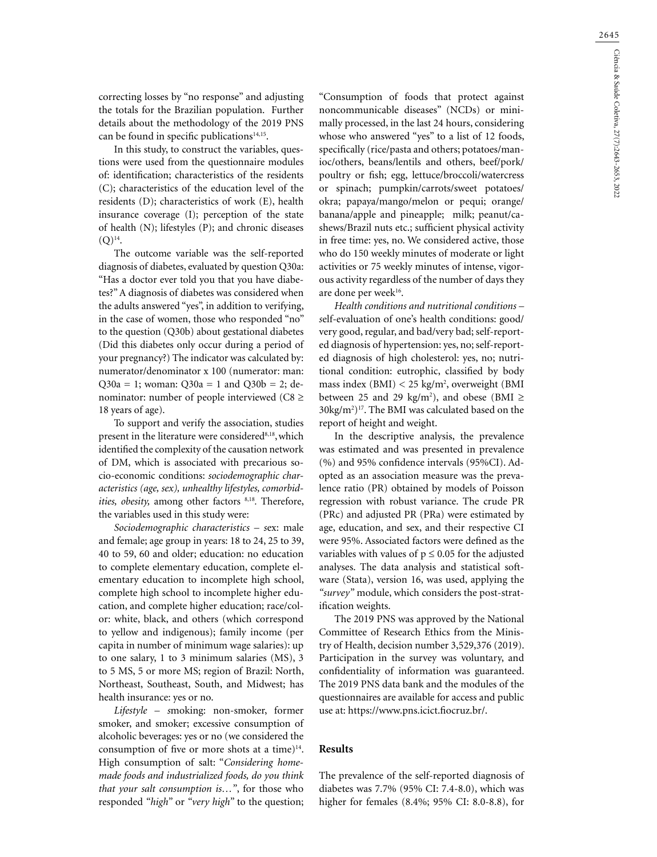2645

correcting losses by "no response" and adjusting the totals for the Brazilian population. Further details about the methodology of the 2019 PNS can be found in specific publications $14,15$ .

In this study, to construct the variables, questions were used from the questionnaire modules of: identification; characteristics of the residents (C); characteristics of the education level of the residents (D); characteristics of work (E), health insurance coverage (I); perception of the state of health (N); lifestyles (P); and chronic diseases  $(Q)$ <sup>14</sup>.

The outcome variable was the self-reported diagnosis of diabetes, evaluated by question Q30a: "Has a doctor ever told you that you have diabetes?" A diagnosis of diabetes was considered when the adults answered "yes", in addition to verifying, in the case of women, those who responded "no" to the question (Q30b) about gestational diabetes (Did this diabetes only occur during a period of your pregnancy?) The indicator was calculated by: numerator/denominator x 100 (numerator: man:  $Q30a = 1$ ; woman:  $Q30a = 1$  and  $Q30b = 2$ ; denominator: number of people interviewed ( $C8 \ge$ 18 years of age).

To support and verify the association, studies present in the literature were considered<sup>8,18</sup>, which identified the complexity of the causation network of DM, which is associated with precarious socio-economic conditions: *sociodemographic characteristics (age, sex), unhealthy lifestyles, comorbidities, obesity, among other factors* <sup>8,18</sup>. Therefore, the variables used in this study were:

*Sociodemographic characteristics – s*ex: male and female; age group in years: 18 to 24, 25 to 39, 40 to 59, 60 and older; education: no education to complete elementary education, complete elementary education to incomplete high school, complete high school to incomplete higher education, and complete higher education; race/color: white, black, and others (which correspond to yellow and indigenous); family income (per capita in number of minimum wage salaries): up to one salary, 1 to 3 minimum salaries (MS), 3 to 5 MS, 5 or more MS; region of Brazil: North, Northeast, Southeast, South, and Midwest; has health insurance: yes or no.

*Lifestyle – s*moking: non-smoker, former smoker, and smoker; excessive consumption of alcoholic beverages: yes or no (we considered the consumption of five or more shots at a time) $14$ . High consumption of salt: "*Considering homemade foods and industrialized foods, do you think that your salt consumption is…"*, for those who responded *"high"* or *"very high"* to the question;

"Consumption of foods that protect against noncommunicable diseases" (NCDs) or minimally processed, in the last 24 hours, considering whose who answered "yes" to a list of 12 foods, specifically (rice/pasta and others; potatoes/manioc/others, beans/lentils and others, beef/pork/ poultry or fish; egg, lettuce/broccoli/watercress or spinach; pumpkin/carrots/sweet potatoes/ okra; papaya/mango/melon or pequi; orange/ banana/apple and pineapple; milk; peanut/cashews/Brazil nuts etc.; sufficient physical activity in free time: yes, no. We considered active, those who do 150 weekly minutes of moderate or light activities or 75 weekly minutes of intense, vigorous activity regardless of the number of days they are done per week<sup>16</sup>.

*Health conditions and nutritional conditions – s*elf-evaluation of one's health conditions: good/ very good, regular, and bad/very bad; self-reported diagnosis of hypertension: yes, no; self-reported diagnosis of high cholesterol: yes, no; nutritional condition: eutrophic, classified by body mass index (BMI) < 25 kg/m2 , overweight (BMI between 25 and 29 kg/m<sup>2</sup>), and obese (BMI  $\ge$  $30\text{kg/m}^2$ <sup>17</sup>. The BMI was calculated based on the report of height and weight.

In the descriptive analysis, the prevalence was estimated and was presented in prevalence (%) and 95% confidence intervals (95%CI). Adopted as an association measure was the prevalence ratio (PR) obtained by models of Poisson regression with robust variance. The crude PR (PRc) and adjusted PR (PRa) were estimated by age, education, and sex, and their respective CI were 95%. Associated factors were defined as the variables with values of  $p \le 0.05$  for the adjusted analyses. The data analysis and statistical software (Stata), version 16, was used, applying the *"survey"* module, which considers the post-stratification weights.

The 2019 PNS was approved by the National Committee of Research Ethics from the Ministry of Health, decision number 3,529,376 (2019). Participation in the survey was voluntary, and confidentiality of information was guaranteed. The 2019 PNS data bank and the modules of the questionnaires are available for access and public use at: [https://www.pns.icict.fiocruz.br/.](https://www.pns.icict.fiocruz.br/)

### **Results**

The prevalence of the self-reported diagnosis of diabetes was 7.7% (95% CI: 7.4-8.0), which was higher for females (8.4%; 95% CI: 8.0-8.8), for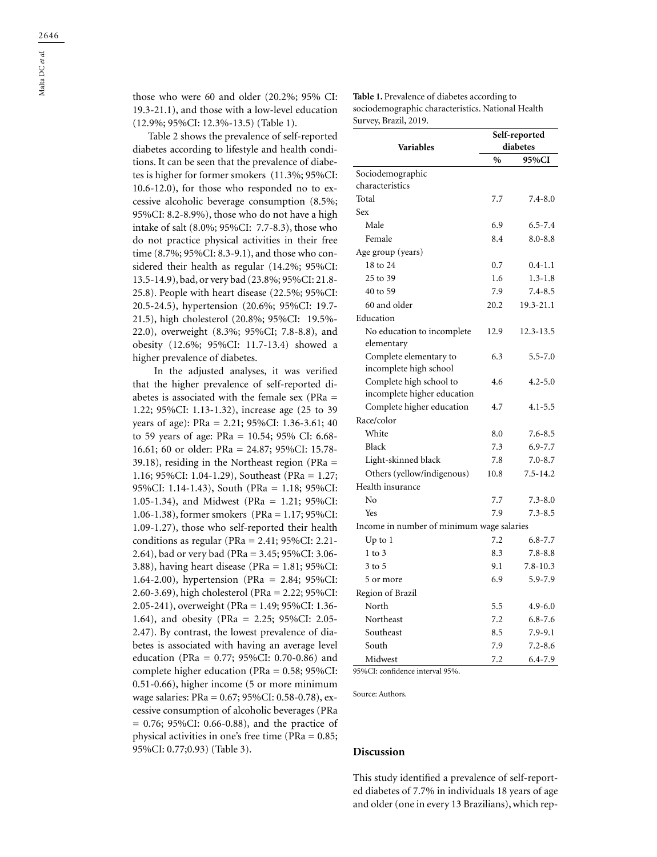those who were 60 and older (20.2%; 95% CI: 19.3-21.1), and those with a low-level education (12.9%; 95%CI: 12.3%-13.5) (Table 1).

Table 2 shows the prevalence of self-reported diabetes according to lifestyle and health conditions. It can be seen that the prevalence of diabetes is higher for former smokers (11.3%; 95%CI: 10.6-12.0), for those who responded no to excessive alcoholic beverage consumption (8.5%; 95%CI: 8.2-8.9%), those who do not have a high intake of salt (8.0%; 95%CI: 7.7-8.3), those who do not practice physical activities in their free time (8.7%; 95%CI: 8.3-9.1), and those who considered their health as regular (14.2%; 95%CI: 13.5-14.9), bad, or very bad (23.8%; 95%CI: 21.8- 25.8). People with heart disease (22.5%; 95%CI: 20.5-24.5), hypertension (20.6%; 95%CI: 19.7- 21.5), high cholesterol (20.8%; 95%CI: 19.5%- 22.0), overweight (8.3%; 95%CI; 7.8-8.8), and obesity (12.6%; 95%CI: 11.7-13.4) showed a higher prevalence of diabetes.

In the adjusted analyses, it was verified that the higher prevalence of self-reported diabetes is associated with the female sex (PRa = 1.22; 95%CI: 1.13-1.32), increase age (25 to 39 years of age): PRa = 2.21; 95%CI: 1.36-3.61; 40 to 59 years of age: PRa = 10.54; 95% CI: 6.68- 16.61; 60 or older: PRa = 24.87; 95%CI: 15.78- 39.18), residing in the Northeast region (PRa = 1.16; 95%CI: 1.04-1.29), Southeast (PRa = 1.27; 95%CI: 1.14-1.43), South (PRa = 1.18; 95%CI: 1.05-1.34), and Midwest (PRa = 1.21; 95%CI: 1.06-1.38), former smokers (PRa = 1.17; 95%CI: 1.09-1.27), those who self-reported their health conditions as regular (PRa = 2.41; 95%CI: 2.21- 2.64), bad or very bad (PRa = 3.45; 95%CI: 3.06- 3.88), having heart disease (PRa = 1.81; 95%CI: 1.64-2.00), hypertension (PRa = 2.84; 95%CI: 2.60-3.69), high cholesterol (PRa = 2.22; 95%CI: 2.05-241), overweight (PRa = 1.49; 95%CI: 1.36- 1.64), and obesity (PRa = 2.25; 95%CI: 2.05- 2.47). By contrast, the lowest prevalence of diabetes is associated with having an average level education (PRa = 0.77; 95%CI: 0.70-0.86) and complete higher education (PRa = 0.58; 95%CI: 0.51-0.66), higher income (5 or more minimum wage salaries: PRa = 0.67; 95%CI: 0.58-0.78), excessive consumption of alcoholic beverages (PRa  $= 0.76$ ; 95%CI: 0.66-0.88), and the practice of physical activities in one's free time (PRa = 0.85; 95%CI: 0.77;0.93) (Table 3). **Discussion**

**Table 1.** Prevalence of diabetes according to sociodemographic characteristics. National Health Survey, Brazil, 2019.

|                                           | Self-reported |              |  |  |  |
|-------------------------------------------|---------------|--------------|--|--|--|
| <b>Variables</b>                          | diabetes      |              |  |  |  |
|                                           | $\frac{0}{0}$ | 95%CI        |  |  |  |
| Sociodemographic                          |               |              |  |  |  |
| characteristics                           |               |              |  |  |  |
| Total                                     | 7.7           | $7.4 - 8.0$  |  |  |  |
| Sex                                       |               |              |  |  |  |
| Male                                      | 6.9           | $6.5 - 7.4$  |  |  |  |
| Female                                    | 8.4           | $8.0 - 8.8$  |  |  |  |
| Age group (years)                         |               |              |  |  |  |
| 18 to 24                                  | 0.7           | $0.4 - 1.1$  |  |  |  |
| 25 to 39                                  | 1.6           | $1.3 - 1.8$  |  |  |  |
| 40 to 59                                  | 7.9           | $7.4 - 8.5$  |  |  |  |
| 60 and older                              | 20.2          | 19.3-21.1    |  |  |  |
| Education                                 |               |              |  |  |  |
| No education to incomplete                | 12.9          | 12.3-13.5    |  |  |  |
| elementary                                |               |              |  |  |  |
| Complete elementary to                    | 6.3           | $5.5 - 7.0$  |  |  |  |
| incomplete high school                    |               |              |  |  |  |
| Complete high school to                   | 4.6           | $4.2 - 5.0$  |  |  |  |
| incomplete higher education               |               |              |  |  |  |
| Complete higher education                 | 4.7           | $4.1 - 5.5$  |  |  |  |
| Race/color                                |               |              |  |  |  |
| White                                     | 8.0           | $7.6 - 8.5$  |  |  |  |
| Black                                     | 7.3           | $6.9 - 7.7$  |  |  |  |
| Light-skinned black                       | 7.8           | $7.0 - 8.7$  |  |  |  |
| Others (yellow/indigenous)                | 10.8          | $7.5 - 14.2$ |  |  |  |
| Health insurance                          |               |              |  |  |  |
| No                                        | 7.7           | $7.3 - 8.0$  |  |  |  |
| Yes                                       | 7.9           | $7.3 - 8.5$  |  |  |  |
| Income in number of minimum wage salaries |               |              |  |  |  |
| $Up$ to $1$                               | 7.2           | $6.8 - 7.7$  |  |  |  |
| $1$ to $3$                                | 8.3           | $7.8 - 8.8$  |  |  |  |
| $3$ to $5$                                | 9.1           | $7.8 - 10.3$ |  |  |  |
| 5 or more                                 | 6.9           | 5.9-7.9      |  |  |  |
| Region of Brazil                          |               |              |  |  |  |
| North                                     | 5.5           | $4.9 - 6.0$  |  |  |  |
| Northeast                                 | 7.2           | $6.8 - 7.6$  |  |  |  |
| Southeast                                 | 8.5           | $7.9 - 9.1$  |  |  |  |
| South                                     | 7.9           | $7.2 - 8.6$  |  |  |  |
| Midwest                                   | 7.2           | 6.4-7.9      |  |  |  |

95%CI: confidence interval 95%.

Source: Authors.

This study identified a prevalence of self-reported diabetes of 7.7% in individuals 18 years of age and older (one in every 13 Brazilians), which rep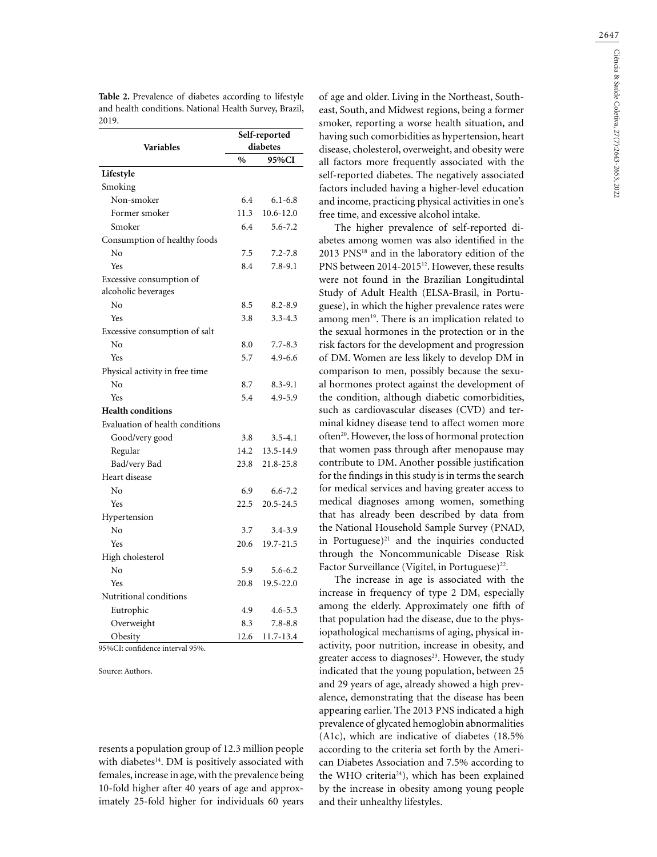Table 2. Prevalence of diabetes according to lifestyle and health conditions. National Health Survey, Brazil, 2019.

|                                 | Self-reported |             |  |  |
|---------------------------------|---------------|-------------|--|--|
| <b>Variables</b>                | diabetes      |             |  |  |
|                                 | %             | 95%CI       |  |  |
| Lifestyle                       |               |             |  |  |
| Smoking                         |               |             |  |  |
| Non-smoker                      | 6.4           | $6.1 - 6.8$ |  |  |
| Former smoker                   | 11.3          | 10.6-12.0   |  |  |
| Smoker                          | 6.4           | $5.6 - 7.2$ |  |  |
| Consumption of healthy foods    |               |             |  |  |
| No                              | 7.5           | $7.2 - 7.8$ |  |  |
| Yes                             | 8.4           | $7.8 - 9.1$ |  |  |
| Excessive consumption of        |               |             |  |  |
| alcoholic beverages             |               |             |  |  |
| No                              | 8.5           | $8.2 - 8.9$ |  |  |
| Yes                             | 3.8           | $3.3 - 4.3$ |  |  |
| Excessive consumption of salt   |               |             |  |  |
| No                              | 8.0           | $7.7 - 8.3$ |  |  |
| Yes                             | 5.7           | $4.9 - 6.6$ |  |  |
| Physical activity in free time  |               |             |  |  |
| No                              | 8.7           | $8.3 - 9.1$ |  |  |
| Yes                             | 5.4           | 4.9-5.9     |  |  |
| <b>Health conditions</b>        |               |             |  |  |
| Evaluation of health conditions |               |             |  |  |
| Good/very good                  | 3.8           | $3.5 - 4.1$ |  |  |
| Regular                         | 14.2          | 13.5-14.9   |  |  |
| Bad/very Bad                    | 23.8          | 21.8-25.8   |  |  |
| Heart disease                   |               |             |  |  |
| No                              | 6.9           | $6.6 - 7.2$ |  |  |
| Yes                             | 22.5          | 20.5-24.5   |  |  |
| Hypertension                    |               |             |  |  |
| No                              | 3.7           | $3.4 - 3.9$ |  |  |
| Yes                             | 20.6          | 19.7-21.5   |  |  |
| High cholesterol                |               |             |  |  |
| No                              | 5.9           | $5.6 - 6.2$ |  |  |
| Yes                             | 20.8          | 19.5-22.0   |  |  |
| Nutritional conditions          |               |             |  |  |
| Eutrophic                       | 4.9           | $4.6 - 5.3$ |  |  |
| Overweight                      | 8.3           | $7.8 - 8.8$ |  |  |
| Obesity                         | 12.6          | 11.7-13.4   |  |  |

95%CI: confidence interval 95%.

Source: Authors.

resents a population group of 12.3 million people with diabetes<sup>14</sup>. DM is positively associated with females, increase in age, with the prevalence being 10-fold higher after 40 years of age and approximately 25-fold higher for individuals 60 years

of age and older. Living in the Northeast, Southeast, South, and Midwest regions, being a former smoker, reporting a worse health situation, and having such comorbidities as hypertension, heart disease, cholesterol, overweight, and obesity were all factors more frequently associated with the self-reported diabetes. The negatively associated factors included having a higher-level education and income, practicing physical activities in one's free time, and excessive alcohol intake.

The higher prevalence of self-reported diabetes among women was also identified in the 2013 PNS18 and in the laboratory edition of the PNS between 2014-2015<sup>12</sup>. However, these results were not found in the Brazilian Longitudintal Study of Adult Health (ELSA-Brasil, in Portuguese), in which the higher prevalence rates were among men<sup>19</sup>. There is an implication related to the sexual hormones in the protection or in the risk factors for the development and progression of DM. Women are less likely to develop DM in comparison to men, possibly because the sexual hormones protect against the development of the condition, although diabetic comorbidities, such as cardiovascular diseases (CVD) and terminal kidney disease tend to affect women more often<sup>20</sup>. However, the loss of hormonal protection that women pass through after menopause may contribute to DM. Another possible justification for the findings in this study is in terms the search for medical services and having greater access to medical diagnoses among women, something that has already been described by data from the National Household Sample Survey (PNAD, in Portuguese) $21$  and the inquiries conducted through the Noncommunicable Disease Risk Factor Surveillance (Vigitel, in Portuguese)<sup>22</sup>.

The increase in age is associated with the increase in frequency of type 2 DM, especially among the elderly. Approximately one fifth of that population had the disease, due to the physiopathological mechanisms of aging, physical inactivity, poor nutrition, increase in obesity, and greater access to diagnoses $23$ . However, the study indicated that the young population, between 25 and 29 years of age, already showed a high prevalence, demonstrating that the disease has been appearing earlier. The 2013 PNS indicated a high prevalence of glycated hemoglobin abnormalities (A1c), which are indicative of diabetes (18.5% according to the criteria set forth by the American Diabetes Association and 7.5% according to the WHO criteria<sup>24</sup>), which has been explained by the increase in obesity among young people and their unhealthy lifestyles.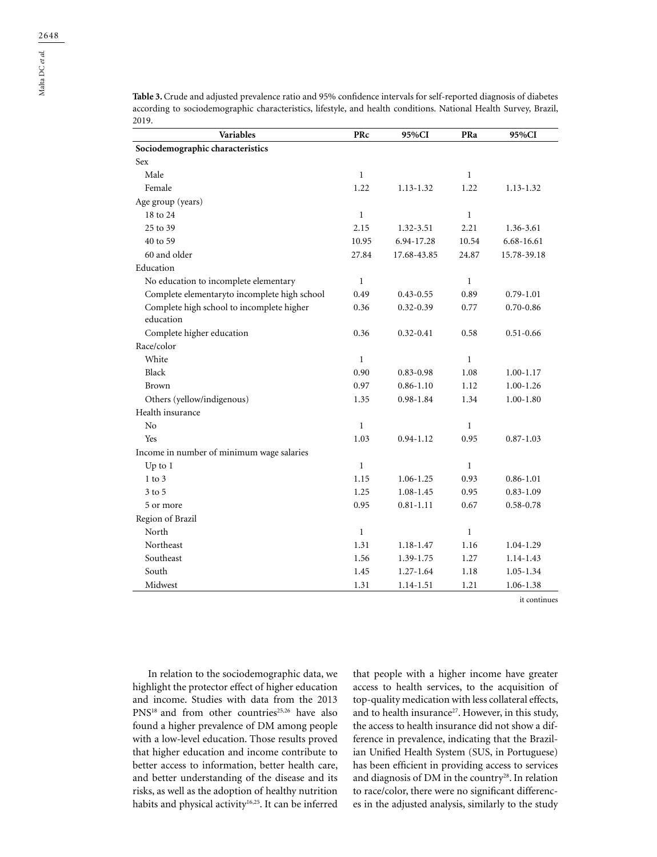**Table 3.** Crude and adjusted prevalence ratio and 95% confidence intervals for self-reported diagnosis of diabetes according to sociodemographic characteristics, lifestyle, and health conditions. National Health Survey, Brazil, 2019.

| <b>Variables</b>                             | PRc          | 95%CI         | PRa          | 95%CI         |
|----------------------------------------------|--------------|---------------|--------------|---------------|
| Sociodemographic characteristics             |              |               |              |               |
| Sex                                          |              |               |              |               |
| Male                                         | $\mathbf{1}$ |               | $\mathbf{1}$ |               |
| Female                                       | 1.22         | 1.13-1.32     | 1.22         | 1.13-1.32     |
| Age group (years)                            |              |               |              |               |
| 18 to 24                                     | $\mathbf{1}$ |               | $\mathbf{1}$ |               |
| 25 to 39                                     | 2.15         | 1.32-3.51     | 2.21         | 1.36-3.61     |
| 40 to 59                                     | 10.95        | 6.94-17.28    | 10.54        | 6.68-16.61    |
| 60 and older                                 | 27.84        | 17.68-43.85   | 24.87        | 15.78-39.18   |
| Education                                    |              |               |              |               |
| No education to incomplete elementary        | $\mathbf{1}$ |               | $\mathbf{1}$ |               |
| Complete elementaryto incomplete high school | 0.49         | $0.43 - 0.55$ | 0.89         | $0.79 - 1.01$ |
| Complete high school to incomplete higher    | 0.36         | $0.32 - 0.39$ | 0.77         | $0.70 - 0.86$ |
| education                                    |              |               |              |               |
| Complete higher education                    | 0.36         | $0.32 - 0.41$ | 0.58         | $0.51 - 0.66$ |
| Race/color                                   |              |               |              |               |
| White                                        | $\mathbf{1}$ |               | $\mathbf{1}$ |               |
| Black                                        | 0.90         | $0.83 - 0.98$ | 1.08         | $1.00 - 1.17$ |
| Brown                                        | 0.97         | $0.86 - 1.10$ | 1.12         | $1.00 - 1.26$ |
| Others (yellow/indigenous)                   | 1.35         | $0.98 - 1.84$ | 1.34         | $1.00 - 1.80$ |
| Health insurance                             |              |               |              |               |
| No                                           | 1            |               | $\mathbf{1}$ |               |
| Yes                                          | 1.03         | $0.94 - 1.12$ | 0.95         | $0.87 - 1.03$ |
| Income in number of minimum wage salaries    |              |               |              |               |
| $Up$ to $1$                                  | $\mathbf{1}$ |               | $\mathbf{1}$ |               |
| $1$ to $3$                                   | 1.15         | 1.06-1.25     | 0.93         | $0.86 - 1.01$ |
| $3$ to $5$                                   | 1.25         | $1.08 - 1.45$ | 0.95         | $0.83 - 1.09$ |
| 5 or more                                    | 0.95         | $0.81 - 1.11$ | 0.67         | $0.58 - 0.78$ |
| Region of Brazil                             |              |               |              |               |
| North                                        | $\mathbf{1}$ |               | $\mathbf{1}$ |               |
| Northeast                                    | 1.31         | 1.18-1.47     | 1.16         | 1.04-1.29     |
| Southeast                                    | 1.56         | 1.39-1.75     | 1.27         | 1.14-1.43     |
| South                                        | 1.45         | $1.27 - 1.64$ | 1.18         | 1.05-1.34     |
| Midwest                                      | 1.31         | 1.14-1.51     | 1.21         | 1.06-1.38     |

it continues

In relation to the sociodemographic data, we highlight the protector effect of higher education and income. Studies with data from the 2013 PNS<sup>18</sup> and from other countries<sup>25,26</sup> have also found a higher prevalence of DM among people with a low-level education. Those results proved that higher education and income contribute to better access to information, better health care, and better understanding of the disease and its risks, as well as the adoption of healthy nutrition habits and physical activity<sup>16,25</sup>. It can be inferred that people with a higher income have greater access to health services, to the acquisition of top-quality medication with less collateral effects, and to health insurance<sup>27</sup>. However, in this study, the access to health insurance did not show a difference in prevalence, indicating that the Brazilian Unified Health System (SUS, in Portuguese) has been efficient in providing access to services and diagnosis of DM in the country<sup>28</sup>. In relation to race/color, there were no significant differences in the adjusted analysis, similarly to the study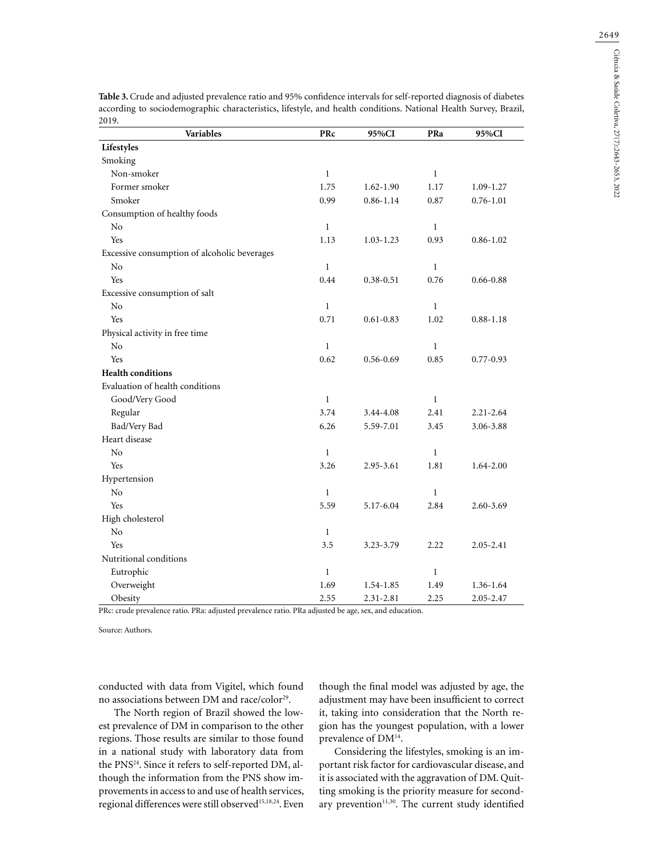| 2019.<br>Variables                           | PRc          | 95%CI         | PRa          | 95%CI         |
|----------------------------------------------|--------------|---------------|--------------|---------------|
| Lifestyles                                   |              |               |              |               |
| Smoking                                      |              |               |              |               |
| Non-smoker                                   | $\mathbf{1}$ |               | $\mathbf{1}$ |               |
| Former smoker                                | 1.75         | $1.62 - 1.90$ | 1.17         | 1.09-1.27     |
| Smoker                                       | 0.99         | $0.86 - 1.14$ | 0.87         | $0.76 - 1.01$ |
| Consumption of healthy foods                 |              |               |              |               |
| No                                           | $\mathbf{1}$ |               | $\mathbf{1}$ |               |
| Yes                                          | 1.13         | $1.03 - 1.23$ | 0.93         | $0.86 - 1.02$ |
| Excessive consumption of alcoholic beverages |              |               |              |               |
| No                                           | $\mathbf{1}$ |               | $\mathbf{1}$ |               |
| Yes                                          | 0.44         | $0.38 - 0.51$ | 0.76         | $0.66 - 0.88$ |
| Excessive consumption of salt                |              |               |              |               |
| No                                           | $\mathbf{1}$ |               | $\mathbf{1}$ |               |
| Yes                                          | 0.71         | $0.61 - 0.83$ | 1.02         | $0.88 - 1.18$ |
| Physical activity in free time               |              |               |              |               |
| No                                           | $\mathbf{1}$ |               | $\mathbf{1}$ |               |
| Yes                                          | 0.62         | $0.56 - 0.69$ | 0.85         | $0.77 - 0.93$ |
| <b>Health conditions</b>                     |              |               |              |               |
| Evaluation of health conditions              |              |               |              |               |
| Good/Very Good                               | $\mathbf{1}$ |               | $\mathbf{1}$ |               |
| Regular                                      | 3.74         | 3.44-4.08     | 2.41         | $2.21 - 2.64$ |
| Bad/Very Bad                                 | 6.26         | 5.59-7.01     | 3.45         | 3.06-3.88     |
| Heart disease                                |              |               |              |               |
| N <sub>o</sub>                               | $\mathbf{1}$ |               | $\mathbf{1}$ |               |
| Yes                                          | 3.26         | 2.95-3.61     | 1.81         | 1.64-2.00     |
| Hypertension                                 |              |               |              |               |
| No                                           | $\mathbf{1}$ |               | $\mathbf{1}$ |               |
| Yes                                          | 5.59         | 5.17-6.04     | 2.84         | $2.60 - 3.69$ |
| High cholesterol                             |              |               |              |               |
| No                                           | $\mathbf{1}$ |               |              |               |
| Yes                                          | 3.5          | 3.23-3.79     | 2.22         | $2.05 - 2.41$ |
| Nutritional conditions                       |              |               |              |               |
| Eutrophic                                    | $\mathbf{1}$ |               | $\mathbf{1}$ |               |
| Overweight                                   | 1.69         | 1.54-1.85     | 1.49         | 1.36-1.64     |
| Obesity                                      | 2.55         | 2.31-2.81     | 2.25         | 2.05-2.47     |

**Table 3.** Crude and adjusted prevalence ratio and 95% confidence intervals for self-reported diagnosis of diabetes according to sociodemographic characteristics, lifestyle, and health conditions. National Health Survey, Brazil, 2019.

PRc: crude prevalence ratio. PRa: adjusted prevalence ratio. PRa adjusted be age, sex, and education.

Source: Authors.

conducted with data from Vigitel, which found no associations between DM and race/color<sup>29</sup>.

The North region of Brazil showed the lowest prevalence of DM in comparison to the other regions. Those results are similar to those found in a national study with laboratory data from the PNS24. Since it refers to self-reported DM, although the information from the PNS show improvements in access to and use of health services, regional differences were still observed<sup>15,18,24</sup>. Even

though the final model was adjusted by age, the adjustment may have been insufficient to correct it, taking into consideration that the North region has the youngest population, with a lower prevalence of DM14.

Considering the lifestyles, smoking is an important risk factor for cardiovascular disease, and it is associated with the aggravation of DM. Quitting smoking is the priority measure for secondary prevention<sup>11,30</sup>. The current study identified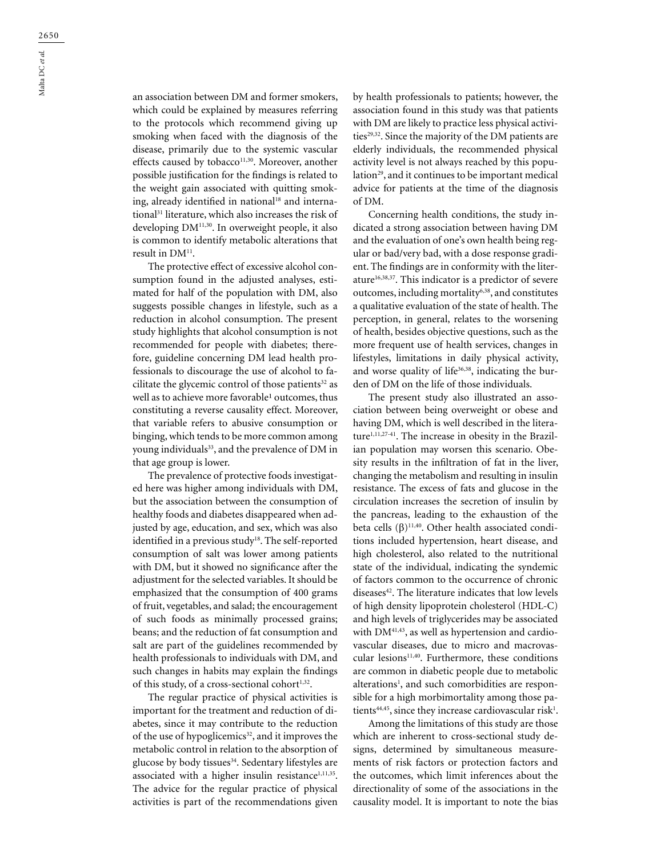an association between DM and former smokers, which could be explained by measures referring to the protocols which recommend giving up smoking when faced with the diagnosis of the disease, primarily due to the systemic vascular effects caused by tobacco<sup>11,30</sup>. Moreover, another possible justification for the findings is related to the weight gain associated with quitting smoking, already identified in national<sup>18</sup> and international<sup>31</sup> literature, which also increases the risk of developing DM11,30. In overweight people, it also is common to identify metabolic alterations that result in DM<sup>11</sup>.

The protective effect of excessive alcohol consumption found in the adjusted analyses, estimated for half of the population with DM, also suggests possible changes in lifestyle, such as a reduction in alcohol consumption. The present study highlights that alcohol consumption is not recommended for people with diabetes; therefore, guideline concerning DM lead health professionals to discourage the use of alcohol to facilitate the glycemic control of those patients<sup>32</sup> as well as to achieve more favorable<sup>1</sup> outcomes, thus constituting a reverse causality effect. Moreover, that variable refers to abusive consumption or binging, which tends to be more common among young individuals<sup>33</sup>, and the prevalence of DM in that age group is lower.

The prevalence of protective foods investigated here was higher among individuals with DM, but the association between the consumption of healthy foods and diabetes disappeared when adjusted by age, education, and sex, which was also identified in a previous study<sup>18</sup>. The self-reported consumption of salt was lower among patients with DM, but it showed no significance after the adjustment for the selected variables. It should be emphasized that the consumption of 400 grams of fruit, vegetables, and salad; the encouragement of such foods as minimally processed grains; beans; and the reduction of fat consumption and salt are part of the guidelines recommended by health professionals to individuals with DM, and such changes in habits may explain the findings of this study, of a cross-sectional cohort $1,32$ .

The regular practice of physical activities is important for the treatment and reduction of diabetes, since it may contribute to the reduction of the use of hypoglicemics<sup>32</sup>, and it improves the metabolic control in relation to the absorption of glucose by body tissues<sup>34</sup>. Sedentary lifestyles are associated with a higher insulin resistance<sup>1,11,35</sup>. The advice for the regular practice of physical activities is part of the recommendations given

by health professionals to patients; however, the association found in this study was that patients with DM are likely to practice less physical activities<sup>29,32</sup>. Since the majority of the DM patients are elderly individuals, the recommended physical activity level is not always reached by this population<sup>29</sup>, and it continues to be important medical advice for patients at the time of the diagnosis of DM.

Concerning health conditions, the study indicated a strong association between having DM and the evaluation of one's own health being regular or bad/very bad, with a dose response gradient. The findings are in conformity with the literature16,38,37. This indicator is a predictor of severe outcomes, including mortality<sup>6,38</sup>, and constitutes a qualitative evaluation of the state of health. The perception, in general, relates to the worsening of health, besides objective questions, such as the more frequent use of health services, changes in lifestyles, limitations in daily physical activity, and worse quality of life<sup>36,38</sup>, indicating the burden of DM on the life of those individuals.

The present study also illustrated an association between being overweight or obese and having DM, which is well described in the literature<sup>1,11,27-41</sup>. The increase in obesity in the Brazilian population may worsen this scenario. Obesity results in the infiltration of fat in the liver, changing the metabolism and resulting in insulin resistance. The excess of fats and glucose in the circulation increases the secretion of insulin by the pancreas, leading to the exhaustion of the beta cells  $(\beta)^{11,40}$ . Other health associated conditions included hypertension, heart disease, and high cholesterol, also related to the nutritional state of the individual, indicating the syndemic of factors common to the occurrence of chronic diseases<sup>42</sup>. The literature indicates that low levels of high density lipoprotein cholesterol (HDL-C) and high levels of triglycerides may be associated with DM<sup>41,43</sup>, as well as hypertension and cardiovascular diseases, due to micro and macrovascular lesions<sup>11,40</sup>. Furthermore, these conditions are common in diabetic people due to metabolic alterations<sup>1</sup>, and such comorbidities are responsible for a high morbimortality among those patients<sup>44,45</sup>, since they increase cardiovascular risk<sup>1</sup>.

Among the limitations of this study are those which are inherent to cross-sectional study designs, determined by simultaneous measurements of risk factors or protection factors and the outcomes, which limit inferences about the directionality of some of the associations in the causality model. It is important to note the bias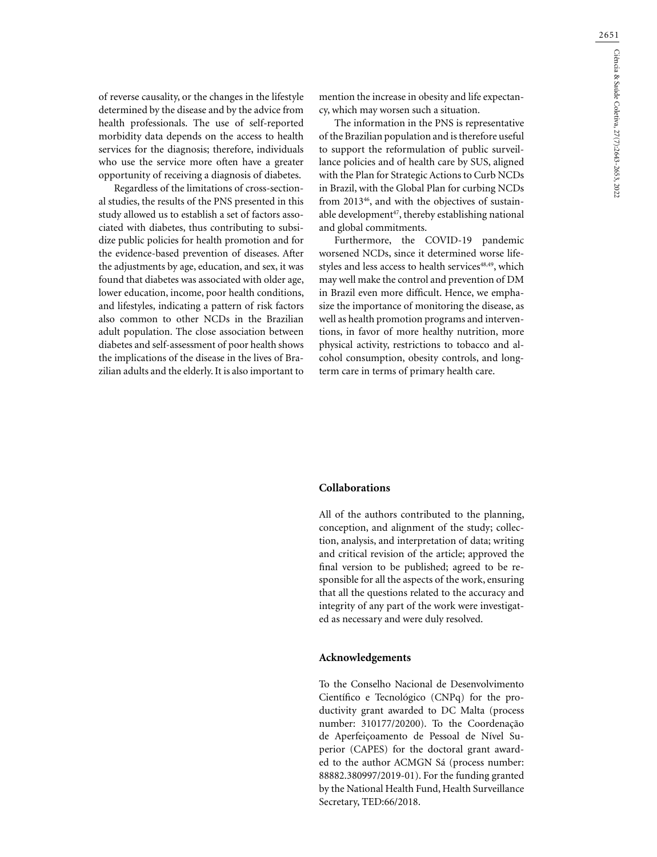of reverse causality, or the changes in the lifestyle determined by the disease and by the advice from health professionals. The use of self-reported morbidity data depends on the access to health services for the diagnosis; therefore, individuals who use the service more often have a greater opportunity of receiving a diagnosis of diabetes.

Regardless of the limitations of cross-sectional studies, the results of the PNS presented in this study allowed us to establish a set of factors associated with diabetes, thus contributing to subsidize public policies for health promotion and for the evidence-based prevention of diseases. After the adjustments by age, education, and sex, it was found that diabetes was associated with older age, lower education, income, poor health conditions, and lifestyles, indicating a pattern of risk factors also common to other NCDs in the Brazilian adult population. The close association between diabetes and self-assessment of poor health shows the implications of the disease in the lives of Brazilian adults and the elderly. It is also important to

mention the increase in obesity and life expectancy, which may worsen such a situation.

The information in the PNS is representative of the Brazilian population and is therefore useful to support the reformulation of public surveillance policies and of health care by SUS, aligned with the Plan for Strategic Actions to Curb NCDs in Brazil, with the Global Plan for curbing NCDs from 2013<sup>46</sup>, and with the objectives of sustainable development $47$ , thereby establishing national and global commitments.

Furthermore, the COVID-19 pandemic worsened NCDs, since it determined worse lifestyles and less access to health services<sup>48,49</sup>, which may well make the control and prevention of DM in Brazil even more difficult. Hence, we emphasize the importance of monitoring the disease, as well as health promotion programs and interventions, in favor of more healthy nutrition, more physical activity, restrictions to tobacco and alcohol consumption, obesity controls, and longterm care in terms of primary health care.

## **Collaborations**

All of the authors contributed to the planning, conception, and alignment of the study; collection, analysis, and interpretation of data; writing and critical revision of the article; approved the final version to be published; agreed to be responsible for all the aspects of the work, ensuring that all the questions related to the accuracy and integrity of any part of the work were investigated as necessary and were duly resolved.

### **Acknowledgements**

To the Conselho Nacional de Desenvolvimento Científico e Tecnológico (CNPq) for the productivity grant awarded to DC Malta (process number: 310177/20200). To the Coordenação de Aperfeiçoamento de Pessoal de Nível Superior (CAPES) for the doctoral grant awarded to the author ACMGN Sá (process number: 88882.380997/2019-01). For the funding granted by the National Health Fund, Health Surveillance Secretary, TED:66/2018.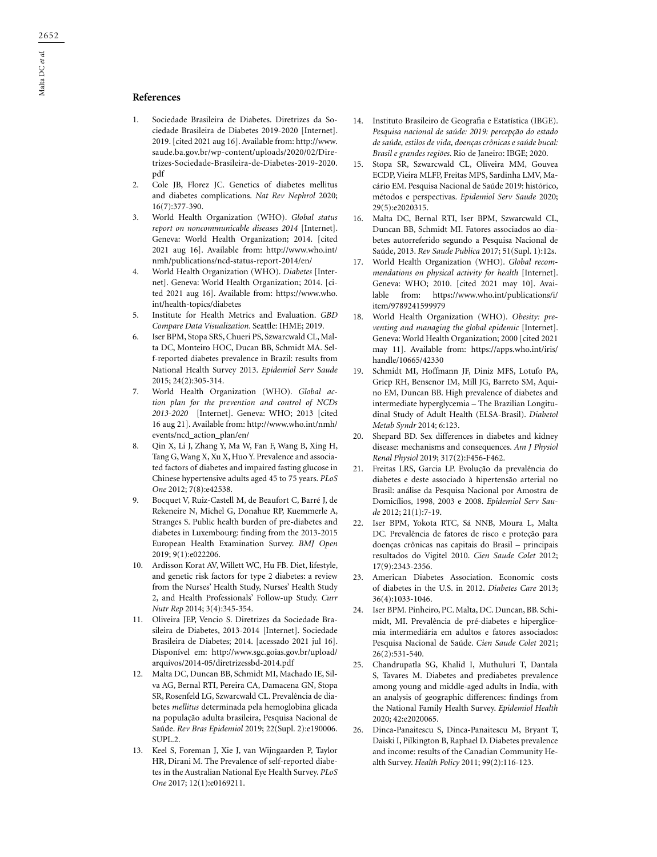### **References**

- 1. Sociedade Brasileira de Diabetes. Diretrizes da Sociedade Brasileira de Diabetes 2019-2020 [Internet]. 2019. [cited 2021 aug 16]. Available from: http://www. saude.ba.gov.br/wp-content/uploads/2020/02/Diretrizes-Sociedade-Brasileira-de-Diabetes-2019-2020. pdf
- 2. Cole JB, Florez JC. Genetics of diabetes mellitus and diabetes complications. *Nat Rev Nephrol* 2020; 16(7):377-390.
- 3. World Health Organization (WHO). *Global status report on noncommunicable diseases 2014* [Internet]. Geneva: World Health Organization; 2014. [cited 2021 aug 16]. Available from: http://www.who.int/ nmh/publications/ncd-status-report-2014/en/
- 4. World Health Organization (WHO). *Diabetes* [Internet]. Geneva: World Health Organization; 2014. [cited 2021 aug 16]. Available from: https://www.who. int/health-topics/diabetes
- 5. Institute for Health Metrics and Evaluation. *GBD Compare Data Visualization*. Seattle: IHME; 2019.
- 6. Iser BPM, Stopa SRS, Chueri PS, Szwarcwald CL, Malta DC, Monteiro HOC, Ducan BB, Schmidt MA. Self-reported diabetes prevalence in Brazil: results from National Health Survey 2013. *Epidemiol Serv Saude* 2015; 24(2):305-314.
- 7. World Health Organization (WHO). *Global action plan for the prevention and control of NCDs 2013-2020* [Internet]. Geneva: WHO; 2013 [cited 16 aug 21]. Available from: http://www.who.int/nmh/ events/ncd\_action\_plan/en/
- 8. Qin X, Li J, Zhang Y, Ma W, Fan F, Wang B, Xing H, Tang G, Wang X, Xu X, Huo Y. Prevalence and associated factors of diabetes and impaired fasting glucose in Chinese hypertensive adults aged 45 to 75 years. *PLoS One* 2012; 7(8):e42538.
- 9. Bocquet V, Ruiz-Castell M, de Beaufort C, Barré J, de Rekeneire N, Michel G, Donahue RP, Kuemmerle A, Stranges S. Public health burden of pre-diabetes and diabetes in Luxembourg: finding from the 2013-2015 European Health Examination Survey. *BMJ Open* 2019; 9(1):e022206.
- 10. Ardisson Korat AV, Willett WC, Hu FB. Diet, lifestyle, and genetic risk factors for type 2 diabetes: a review from the Nurses' Health Study, Nurses' Health Study 2, and Health Professionals' Follow-up Study. *Curr Nutr Rep* 2014; 3(4):345-354.
- 11. Oliveira JEP, Vencio S. Diretrizes da Sociedade Brasileira de Diabetes, 2013-2014 [Internet]. Sociedade Brasileira de Diabetes; 2014. [acessado 2021 jul 16]. Disponível em: http://www.sgc.goias.gov.br/upload/ arquivos/2014-05/diretrizessbd-2014.pdf
- 12. Malta DC, Duncan BB, Schmidt MI, Machado IE, Silva AG, Bernal RTI, Pereira CA, Damacena GN, Stopa SR, Rosenfeld LG, Szwarcwald CL. Prevalência de diabetes *mellitus* determinada pela hemoglobina glicada na população adulta brasileira, Pesquisa Nacional de Saúde. *Rev Bras Epidemiol* 2019; 22(Supl. 2):e190006. SUPL.2.
- 13. Keel S, Foreman J, Xie J, van Wijngaarden P, Taylor HR, Dirani M. The Prevalence of self-reported diabetes in the Australian National Eye Health Survey. *PLoS One* 2017; 12(1):e0169211.
- 14. Instituto Brasileiro de Geografia e Estatística (IBGE). *Pesquisa nacional de saúde: 2019: percepção do estado de saúde, estilos de vida, doenças crônicas e saúde bucal: Brasil e grandes regiões*. Rio de Janeiro: IBGE; 2020.
- 15. Stopa SR, Szwarcwald CL, Oliveira MM, Gouvea ECDP, Vieira MLFP, Freitas MPS, Sardinha LMV, Macário EM. Pesquisa Nacional de Saúde 2019: histórico, métodos e perspectivas. *Epidemiol Serv Saude* 2020; 29(5):e2020315.
- 16. Malta DC, Bernal RTI, Iser BPM, Szwarcwald CL, Duncan BB, Schmidt MI. Fatores associados ao diabetes autorreferido segundo a Pesquisa Nacional de Saúde, 2013. *Rev Saude Publica* 2017; 51(Supl. 1):12s.
- 17. World Health Organization (WHO). *Global recommendations on physical activity for health* [Internet]. Geneva: WHO; 2010. [cited 2021 may 10]. Available from: https://www.who.int/publications/i/ item/9789241599979
- 18. World Health Organization (WHO). *Obesity: preventing and managing the global epidemic* [Internet]. Geneva: World Health Organization; 2000 [cited 2021 may 11]. Available from: https://apps.who.int/iris/ handle/10665/42330
- 19. Schmidt MI, Hoffmann JF, Diniz MFS, Lotufo PA, Griep RH, Bensenor IM, Mill JG, Barreto SM, Aquino EM, Duncan BB. High prevalence of diabetes and intermediate hyperglycemia – The Brazilian Longitudinal Study of Adult Health (ELSA-Brasil). *Diabetol Metab Syndr* 2014; 6:123.
- 20. Shepard BD. Sex differences in diabetes and kidney disease: mechanisms and consequences. *Am J Physiol Renal Physiol* 2019; 317(2):F456-F462.
- 21. Freitas LRS, Garcia LP. Evolução da prevalência do diabetes e deste associado à hipertensão arterial no Brasil: análise da Pesquisa Nacional por Amostra de Domicílios, 1998, 2003 e 2008. *Epidemiol Serv Saude* 2012; 21(1):7-19.
- 22. Iser BPM, Yokota RTC, Sá NNB, Moura L, Malta DC. Prevalência de fatores de risco e proteção para doenças crônicas nas capitais do Brasil – principais resultados do Vigitel 2010. *Cien Saude Colet* 2012; 17(9):2343-2356.
- 23. American Diabetes Association. Economic costs of diabetes in the U.S. in 2012. *Diabetes Care* 2013; 36(4):1033-1046.
- 24. Iser BPM. Pinheiro, PC. Malta, DC. Duncan, BB. Schimidt, MI. Prevalência de pré-diabetes e hiperglicemia intermediária em adultos e fatores associados: Pesquisa Nacional de Saúde. *Cien Saude Colet* 2021; 26(2):531-540.
- 25. Chandrupatla SG, Khalid I, Muthuluri T, Dantala S, Tavares M. Diabetes and prediabetes prevalence among young and middle-aged adults in India, with an analysis of geographic differences: findings from the National Family Health Survey. *Epidemiol Health* 2020; 42:e2020065.
- 26. Dinca-Panaitescu S, Dinca-Panaitescu M, Bryant T, Daiski I, Pilkington B, Raphael D. Diabetes prevalence and income: results of the Canadian Community Health Survey. *Health Policy* 2011; 99(2):116-123.